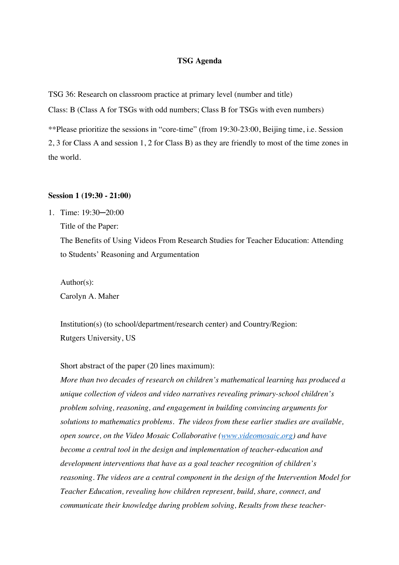#### **TSG Agenda**

TSG 36: Research on classroom practice at primary level (number and title)

Class: B (Class A for TSGs with odd numbers; Class B for TSGs with even numbers)

\*\*Please prioritize the sessions in "core-time" (from 19:30-23:00, Beijing time, i.e. Session 2, 3 for Class A and session 1, 2 for Class B) as they are friendly to most of the time zones in the world.

#### **Session 1 (19:30 - 21:00)**

1. Time: 19:30─20:00 Title of the Paper:

> The Benefits of Using Videos From Research Studies for Teacher Education: Attending to Students' Reasoning and Argumentation

Author(s):

Carolyn A. Maher

Institution(s) (to school/department/research center) and Country/Region: Rutgers University, US

Short abstract of the paper (20 lines maximum):

*More than two decades of research on children's mathematical learning has produced a unique collection of videos and video narratives revealing primary-school children's problem solving, reasoning, and engagement in building convincing arguments for solutions to mathematics problems. The videos from these earlier studies are available, open source, on the Video Mosaic Collaborative (www.videomosaic.org) and have become a central tool in the design and implementation of teacher-education and development interventions that have as a goal teacher recognition of children's reasoning. The videos are a central component in the design of the Intervention Model for Teacher Education, revealing how children represent, build, share, connect, and communicate their knowledge during problem solving, Results from these teacher-*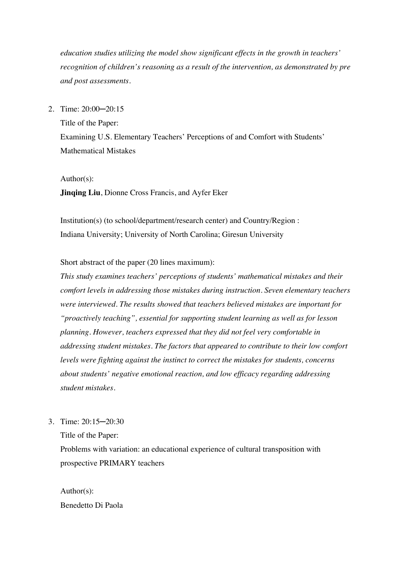*education studies utilizing the model show significant effects in the growth in teachers' recognition of children's reasoning as a result of the intervention, as demonstrated by pre and post assessments.*

2. Time: 20:00─20:15

Title of the Paper: Examining U.S. Elementary Teachers' Perceptions of and Comfort with Students' Mathematical Mistakes

Author(s):

**Jinqing Liu**, Dionne Cross Francis, and Ayfer Eker

Institution(s) (to school/department/research center) and Country/Region : Indiana University; University of North Carolina; Giresun University

Short abstract of the paper (20 lines maximum):

*This study examines teachers' perceptions of students' mathematical mistakes and their comfort levels in addressing those mistakes during instruction. Seven elementary teachers were interviewed. The results showed that teachers believed mistakes are important for "proactively teaching", essential for supporting student learning as well as for lesson planning. However, teachers expressed that they did not feel very comfortable in addressing student mistakes. The factors that appeared to contribute to their low comfort levels were fighting against the instinct to correct the mistakes for students, concerns about students' negative emotional reaction, and low efficacy regarding addressing student mistakes.*

3. Time: 20:15─20:30

Title of the Paper:

Problems with variation: an educational experience of cultural transposition with prospective PRIMARY teachers

Author(s): Benedetto Di Paola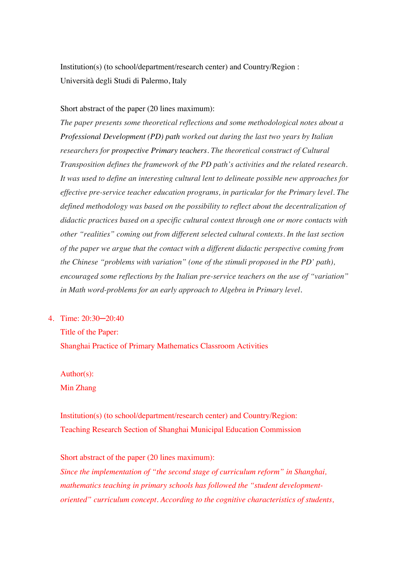Institution(s) (to school/department/research center) and Country/Region : Università degli Studi di Palermo, Italy

### Short abstract of the paper (20 lines maximum):

*The paper presents some theoretical reflections and some methodological notes about a Professional Development (PD) path worked out during the last two years by Italian researchers for prospective Primary teachers. The theoretical construct of Cultural Transposition defines the framework of the PD path's activities and the related research. It was used to define an interesting cultural lent to delineate possible new approaches for effective pre-service teacher education programs, in particular for the Primary level. The defined methodology was based on the possibility to reflect about the decentralization of didactic practices based on a specific cultural context through one or more contacts with other "realities" coming out from different selected cultural contexts. In the last section of the paper we argue that the contact with a different didactic perspective coming from the Chinese "problems with variation" (one of the stimuli proposed in the PD' path), encouraged some reflections by the Italian pre-service teachers on the use of "variation" in Math word-problems for an early approach to Algebra in Primary level.*

4. Time: 20:30─20:40

Title of the Paper:

Shanghai Practice of Primary Mathematics Classroom Activities

Author(s): Min Zhang

Institution(s) (to school/department/research center) and Country/Region: Teaching Research Section of Shanghai Municipal Education Commission

Short abstract of the paper (20 lines maximum): *Since the implementation of "the second stage of curriculum reform" in Shanghai, mathematics teaching in primary schools has followed the "student developmentoriented" curriculum concept. According to the cognitive characteristics of students,*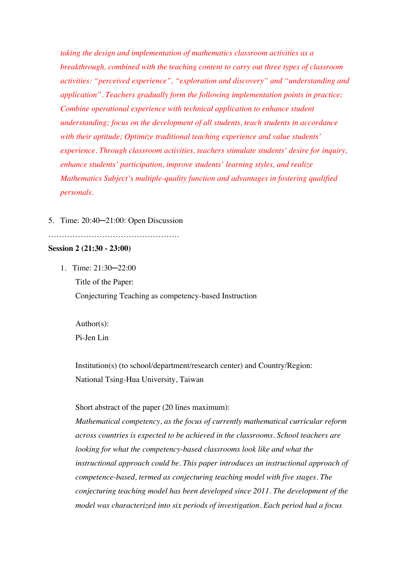*taking the design and implementation of mathematics classroom activities as a breakthrough, combined with the teaching content to carry out three types of classroom activities: "perceived experience", "exploration and discovery" and "understanding and application". Teachers gradually form the following implementation points in practice: Combine operational experience with technical application to enhance student understanding; focus on the development of all students, teach students in accordance with their aptitude; Optimize traditional teaching experience and value students' experience. Through classroom activities, teachers stimulate students' desire for inquiry, enhance students' participation, improve students' learning styles, and realize Mathematics Subject's multiple-quality function and advantages in fostering qualified personals.*

### 5. Time: 20:40─21:00: Open Discussion

#### ………………………………………….

# **Session 2 (21:30 - 23:00)**

1. Time: 21:30─22:00

Title of the Paper: Conjecturing Teaching as competency-based Instruction

Author(s): Pi-Jen Lin

Institution(s) (to school/department/research center) and Country/Region: National Tsing-Hua University, Taiwan

#### Short abstract of the paper (20 lines maximum):

*Mathematical competency, as the focus of currently mathematical curricular reform across countries is expected to be achieved in the classrooms. School teachers are looking for what the competency-based classrooms look like and what the instructional approach could be. This paper introduces an instructional approach of competence-based, termed as conjecturing teaching model with five stages. The conjecturing teaching model has been developed since 2011. The development of the model was characterized into six periods of investigation. Each period had a focus*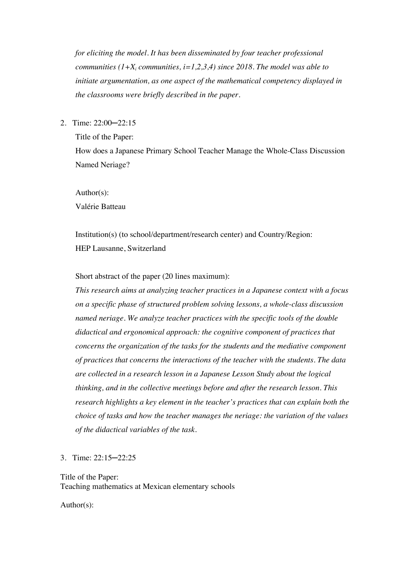*for eliciting the model. It has been disseminated by four teacher professional communities (* $1+X_i$  *communities,*  $i=1,2,3,4$ *) since 2018. The model was able to initiate argumentation, as one aspect of the mathematical competency displayed in the classrooms were briefly described in the paper.*

2. Time: 22:00─22:15

Title of the Paper:

How does a Japanese Primary School Teacher Manage the Whole-Class Discussion Named Neriage?

Author(s):

Valérie Batteau

Institution(s) (to school/department/research center) and Country/Region: HEP Lausanne, Switzerland

Short abstract of the paper (20 lines maximum):

*This research aims at analyzing teacher practices in a Japanese context with a focus on a specific phase of structured problem solving lessons, a whole-class discussion named neriage. We analyze teacher practices with the specific tools of the double didactical and ergonomical approach: the cognitive component of practices that concerns the organization of the tasks for the students and the mediative component of practices that concerns the interactions of the teacher with the students. The data are collected in a research lesson in a Japanese Lesson Study about the logical thinking, and in the collective meetings before and after the research lesson. This research highlights a key element in the teacher's practices that can explain both the choice of tasks and how the teacher manages the neriage: the variation of the values of the didactical variables of the task.*

3. Time: 22:15─22:25

Title of the Paper: Teaching mathematics at Mexican elementary schools

Author(s):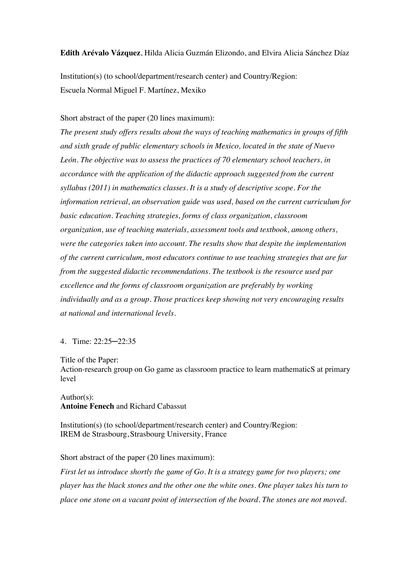**Edith Arévalo Vázquez**, Hilda Alicia Guzmán Elizondo, and Elvira Alicia Sánchez Díaz

Institution(s) (to school/department/research center) and Country/Region: Escuela Normal Miguel F. Martínez, Mexiko

Short abstract of the paper (20 lines maximum):

*The present study offers results about the ways of teaching mathematics in groups of fifth and sixth grade of public elementary schools in Mexico, located in the state of Nuevo León. The objective was to assess the practices of 70 elementary school teachers, in accordance with the application of the didactic approach suggested from the current syllabus (2011) in mathematics classes. It is a study of descriptive scope. For the information retrieval, an observation guide was used, based on the current curriculum for basic education. Teaching strategies, forms of class organization, classroom organization, use of teaching materials, assessment tools and textbook, among others, were the categories taken into account. The results show that despite the implementation of the current curriculum, most educators continue to use teaching strategies that are far from the suggested didactic recommendations. The textbook is the resource used par excellence and the forms of classroom organization are preferably by working individually and as a group. Those practices keep showing not very encouraging results at national and international levels.*

### 4. Time: 22:25─22:35

Title of the Paper:

Action-research group on Go game as classroom practice to learn mathematicS at primary level

### Author(s): **Antoine Fenech** and Richard Cabassut

Institution(s) (to school/department/research center) and Country/Region: IREM de Strasbourg, Strasbourg University, France

Short abstract of the paper (20 lines maximum):

*First let us introduce shortly the game of Go. It is a strategy game for two players; one player has the black stones and the other one the white ones. One player takes his turn to place one stone on a vacant point of intersection of the board. The stones are not moved.*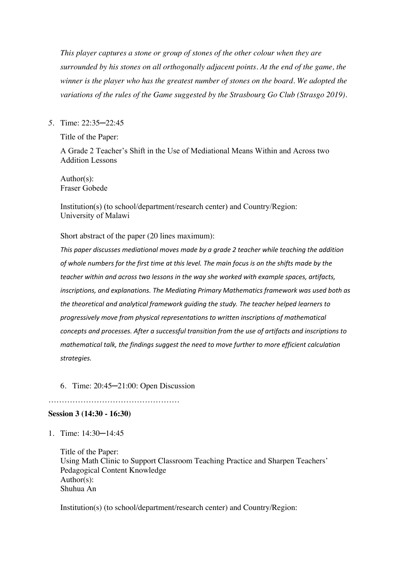*This player captures a stone or group of stones of the other colour when they are surrounded by his stones on all orthogonally adjacent points. At the end of the game, the winner is the player who has the greatest number of stones on the board. We adopted the variations of the rules of the Game suggested by the Strasbourg Go Club (Strasgo 2019).*

# *5.* Time: 22:35─22:45

Title of the Paper:

A Grade 2 Teacher's Shift in the Use of Mediational Means Within and Across two Addition Lessons

Author(s): Fraser Gobede

Institution(s) (to school/department/research center) and Country/Region: University of Malawi

Short abstract of the paper (20 lines maximum):

*This paper discusses mediational moves made by a grade 2 teacher while teaching the addition of whole numbers for the first time at this level. The main focus is on the shifts made by the teacher within and across two lessons in the way she worked with example spaces, artifacts, inscriptions, and explanations. The Mediating Primary Mathematics framework was used both as the theoretical and analytical framework guiding the study. The teacher helped learners to progressively move from physical representations to written inscriptions of mathematical concepts and processes. After a successful transition from the use of artifacts and inscriptions to mathematical talk, the findings suggest the need to move further to more efficient calculation strategies.*

# 6. Time: 20:45─21:00: Open Discussion

………………………………………….

**Session 3 (14:30 - 16:30)**

1. Time: 14:30─14:45

Title of the Paper: Using Math Clinic to Support Classroom Teaching Practice and Sharpen Teachers' Pedagogical Content Knowledge Author(s): Shuhua An

Institution(s) (to school/department/research center) and Country/Region: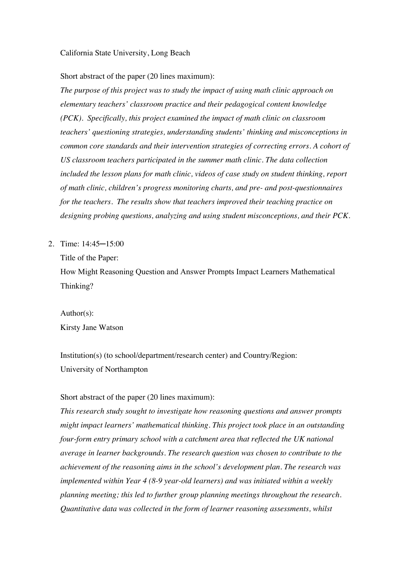California State University, Long Beach

Short abstract of the paper (20 lines maximum):

*The purpose of this project was to study the impact of using math clinic approach on elementary teachers' classroom practice and their pedagogical content knowledge (PCK). Specifically, this project examined the impact of math clinic on classroom teachers' questioning strategies, understanding students' thinking and misconceptions in common core standards and their intervention strategies of correcting errors. A cohort of US classroom teachers participated in the summer math clinic. The data collection included the lesson plans for math clinic, videos of case study on student thinking, report of math clinic, children's progress monitoring charts, and pre- and post-questionnaires for the teachers. The results show that teachers improved their teaching practice on designing probing questions, analyzing and using student misconceptions, and their PCK.*

2. Time: 14:45─15:00

Title of the Paper:

How Might Reasoning Question and Answer Prompts Impact Learners Mathematical Thinking?

Author(s): Kirsty Jane Watson

Institution(s) (to school/department/research center) and Country/Region: University of Northampton

# Short abstract of the paper (20 lines maximum):

*This research study sought to investigate how reasoning questions and answer prompts might impact learners' mathematical thinking. This project took place in an outstanding four-form entry primary school with a catchment area that reflected the UK national average in learner backgrounds. The research question was chosen to contribute to the achievement of the reasoning aims in the school's development plan. The research was implemented within Year 4 (8-9 year-old learners) and was initiated within a weekly planning meeting; this led to further group planning meetings throughout the research. Quantitative data was collected in the form of learner reasoning assessments, whilst*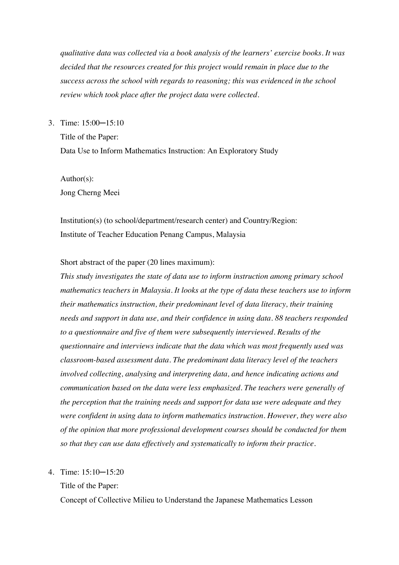*qualitative data was collected via a book analysis of the learners' exercise books. It was decided that the resources created for this project would remain in place due to the success across the school with regards to reasoning; this was evidenced in the school review which took place after the project data were collected.*

3. Time: 15:00─15:10

Title of the Paper: Data Use to Inform Mathematics Instruction: An Exploratory Study

Author(s): Jong Cherng Meei

Institution(s) (to school/department/research center) and Country/Region: Institute of Teacher Education Penang Campus, Malaysia

Short abstract of the paper (20 lines maximum):

*This study investigates the state of data use to inform instruction among primary school mathematics teachers in Malaysia. It looks at the type of data these teachers use to inform their mathematics instruction, their predominant level of data literacy, their training needs and support in data use, and their confidence in using data. 88 teachers responded to a questionnaire and five of them were subsequently interviewed. Results of the questionnaire and interviews indicate that the data which was most frequently used was classroom-based assessment data. The predominant data literacy level of the teachers involved collecting, analysing and interpreting data, and hence indicating actions and communication based on the data were less emphasized. The teachers were generally of the perception that the training needs and support for data use were adequate and they were confident in using data to inform mathematics instruction. However, they were also of the opinion that more professional development courses should be conducted for them so that they can use data effectively and systematically to inform their practice.* 

### 4. Time: 15:10─15:20

Title of the Paper:

Concept of Collective Milieu to Understand the Japanese Mathematics Lesson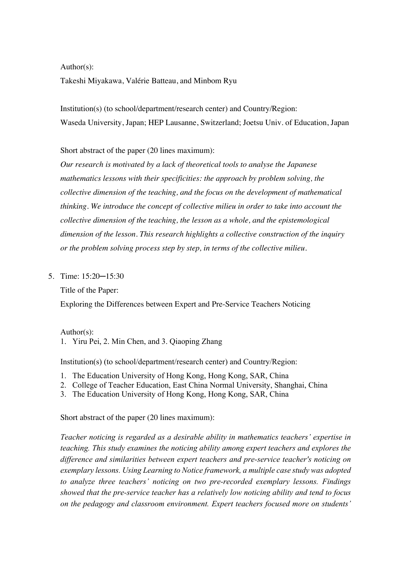Author(s):

Takeshi Miyakawa, Valérie Batteau, and Minbom Ryu

Institution(s) (to school/department/research center) and Country/Region: Waseda University, Japan; HEP Lausanne, Switzerland; Joetsu Univ. of Education, Japan

Short abstract of the paper (20 lines maximum):

*Our research is motivated by a lack of theoretical tools to analyse the Japanese mathematics lessons with their specificities: the approach by problem solving, the collective dimension of the teaching, and the focus on the development of mathematical thinking. We introduce the concept of collective milieu in order to take into account the collective dimension of the teaching, the lesson as a whole, and the epistemological dimension of the lesson. This research highlights a collective construction of the inquiry or the problem solving process step by step, in terms of the collective milieu.*

5. Time: 15:20─15:30

Title of the Paper:

Exploring the Differences between Expert and Pre-Service Teachers Noticing

Author(s):

1. Yiru Pei, 2. Min Chen, and 3. Qiaoping Zhang

Institution(s) (to school/department/research center) and Country/Region:

- 1. The Education University of Hong Kong, Hong Kong, SAR, China
- 2. College of Teacher Education, East China Normal University, Shanghai, China
- 3. The Education University of Hong Kong, Hong Kong, SAR, China

Short abstract of the paper (20 lines maximum):

*Teacher noticing is regarded as a desirable ability in mathematics teachers' expertise in teaching. This study examines the noticing ability among expert teachers and explores the difference and similarities between expert teachers and pre-service teacher's noticing on exemplary lessons. Using Learning to Notice framework, a multiple case study was adopted to analyze three teachers' noticing on two pre-recorded exemplary lessons. Findings showed that the pre-service teacher has a relatively low noticing ability and tend to focus on the pedagogy and classroom environment. Expert teachers focused more on students'*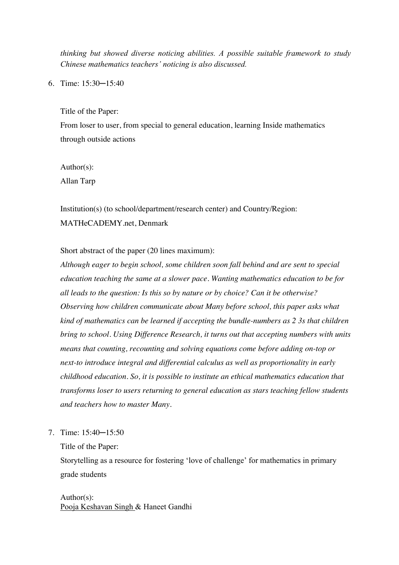*thinking but showed diverse noticing abilities. A possible suitable framework to study Chinese mathematics teachers' noticing is also discussed.*

6. Time: 15:30─15:40

Title of the Paper:

From loser to user, from special to general education, learning Inside mathematics through outside actions

Author(s):

Allan Tarp

Institution(s) (to school/department/research center) and Country/Region: MATHeCADEMY.net, Denmark

Short abstract of the paper (20 lines maximum):

*Although eager to begin school, some children soon fall behind and are sent to special education teaching the same at a slower pace. Wanting mathematics education to be for all leads to the question: Is this so by nature or by choice? Can it be otherwise? Observing how children communicate about Many before school, this paper asks what kind of mathematics can be learned if accepting the bundle-numbers as 2 3s that children bring to school. Using Difference Research, it turns out that accepting numbers with units means that counting, recounting and solving equations come before adding on-top or next-to introduce integral and differential calculus as well as proportionality in early childhood education. So, it is possible to institute an ethical mathematics education that transforms loser to users returning to general education as stars teaching fellow students and teachers how to master Many.*

7. Time: 15:40─15:50

Title of the Paper:

Storytelling as a resource for fostering 'love of challenge' for mathematics in primary grade students

Author(s): Pooja Keshavan Singh & Haneet Gandhi